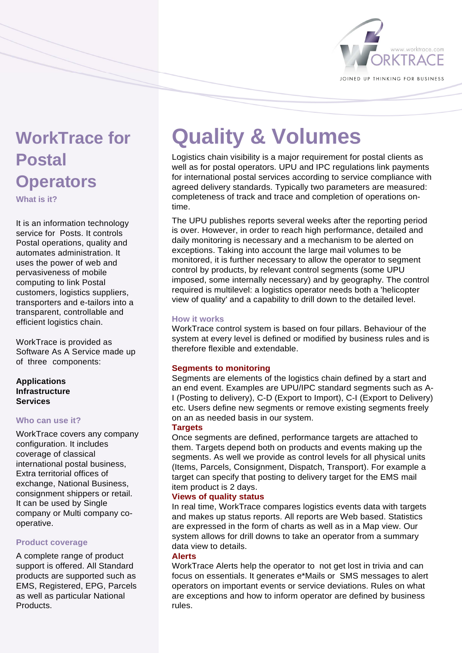

# **WorkTrace for Postal Operators**

**What is it?** 

It is an information technology service for Posts. It controls Postal operations, quality and automates administration. It uses the power of web and pervasiveness of mobile computing to link Postal customers, logistics suppliers, transporters and e-tailors into a transparent, controllable and efficient logistics chain.

WorkTrace is provided as Software As A Service made up of three components:

#### **Applications Infrastructure Services**

#### **Who can use it?**

WorkTrace covers any company configuration. It includes coverage of classical international postal business, Extra territorial offices of exchange, National Business, consignment shippers or retail. It can be used by Single company or Multi company cooperative.

# **Product coverage**

A complete range of product support is offered. All Standard products are supported such as EMS, Registered, EPG, Parcels as well as particular National **Products** 

# **Quality & Volumes**

Logistics chain visibility is a major requirement for postal clients as well as for postal operators. UPU and IPC regulations link payments for international postal services according to service compliance with agreed delivery standards. Typically two parameters are measured: completeness of track and trace and completion of operations ontime.

The UPU publishes reports several weeks after the reporting period is over. However, in order to reach high performance, detailed and daily monitoring is necessary and a mechanism to be alerted on exceptions. Taking into account the large mail volumes to be monitored, it is further necessary to allow the operator to segment control by products, by relevant control segments (some UPU imposed, some internally necessary) and by geography. The control required is multilevel: a logistics operator needs both a 'helicopter view of quality' and a capability to drill down to the detailed level.

# **How it works**

WorkTrace control system is based on four pillars. Behaviour of the system at every level is defined or modified by business rules and is therefore flexible and extendable.

# **Segments to monitoring**

Segments are elements of the logistics chain defined by a start and an end event. Examples are UPU/IPC standard segments such as A-I (Posting to delivery), C-D (Export to Import), C-I (Export to Delivery) etc. Users define new segments or remove existing segments freely on an as needed basis in our system.

#### **Targets**

Once segments are defined, performance targets are attached to them. Targets depend both on products and events making up the segments. As well we provide as control levels for all physical units (Items, Parcels, Consignment, Dispatch, Transport). For example a target can specify that posting to delivery target for the EMS mail item product is 2 days.

# **Views of quality status**

In real time, WorkTrace compares logistics events data with targets and makes up status reports. All reports are Web based. Statistics are expressed in the form of charts as well as in a Map view. Our system allows for drill downs to take an operator from a summary data view to details.

#### **Alerts**

WorkTrace Alerts help the operator to not get lost in trivia and can focus on essentials. It generates e\*Mails or SMS messages to alert operators on important events or service deviations. Rules on what are exceptions and how to inform operator are defined by business rules.